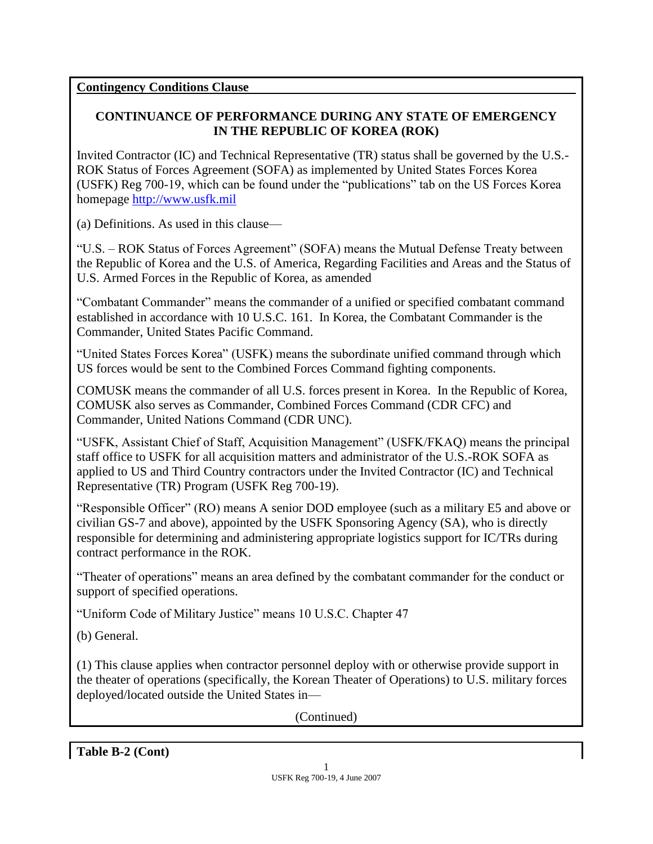#### **Contingency Conditions Clause**

### **CONTINUANCE OF PERFORMANCE DURING ANY STATE OF EMERGENCY IN THE REPUBLIC OF KOREA (ROK)**

Invited Contractor (IC) and Technical Representative (TR) status shall be governed by the U.S.- ROK Status of Forces Agreement (SOFA) as implemented by United States Forces Korea (USFK) Reg 700-19, which can be found under the "publications" tab on the US Forces Korea homepage [http://www.usfk.mil](http://www.usfk.mil/)

(a) Definitions. As used in this clause—

"U.S. – ROK Status of Forces Agreement" (SOFA) means the Mutual Defense Treaty between the Republic of Korea and the U.S. of America, Regarding Facilities and Areas and the Status of U.S. Armed Forces in the Republic of Korea, as amended

"Combatant Commander" means the commander of a unified or specified combatant command established in accordance with 10 U.S.C. 161. In Korea, the Combatant Commander is the Commander, United States Pacific Command.

"United States Forces Korea" (USFK) means the subordinate unified command through which US forces would be sent to the Combined Forces Command fighting components.

COMUSK means the commander of all U.S. forces present in Korea. In the Republic of Korea, COMUSK also serves as Commander, Combined Forces Command (CDR CFC) and Commander, United Nations Command (CDR UNC).

"USFK, Assistant Chief of Staff, Acquisition Management" (USFK/FKAQ) means the principal staff office to USFK for all acquisition matters and administrator of the U.S.-ROK SOFA as applied to US and Third Country contractors under the Invited Contractor (IC) and Technical Representative (TR) Program (USFK Reg 700-19).

"Responsible Officer" (RO) means A senior DOD employee (such as a military E5 and above or civilian GS-7 and above), appointed by the USFK Sponsoring Agency (SA), who is directly responsible for determining and administering appropriate logistics support for IC/TRs during contract performance in the ROK.

"Theater of operations" means an area defined by the combatant commander for the conduct or support of specified operations.

"Uniform Code of Military Justice" means 10 U.S.C. Chapter 47

(b) General.

(1) This clause applies when contractor personnel deploy with or otherwise provide support in the theater of operations (specifically, the Korean Theater of Operations) to U.S. military forces deployed/located outside the United States in—

(Continued)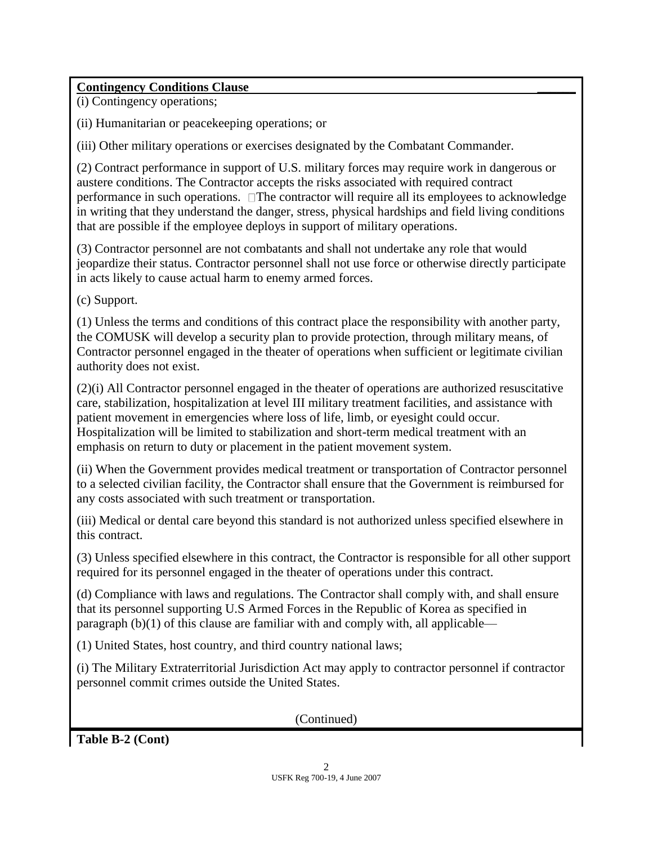## **Contingency Conditions Clause \_\_\_\_\_\_**

(i) Contingency operations;

(ii) Humanitarian or peacekeeping operations; or

(iii) Other military operations or exercises designated by the Combatant Commander.

(2) Contract performance in support of U.S. military forces may require work in dangerous or austere conditions. The Contractor accepts the risks associated with required contract performance in such operations. The contractor will require all its employees to acknowledge in writing that they understand the danger, stress, physical hardships and field living conditions that are possible if the employee deploys in support of military operations.

(3) Contractor personnel are not combatants and shall not undertake any role that would jeopardize their status. Contractor personnel shall not use force or otherwise directly participate in acts likely to cause actual harm to enemy armed forces.

(c) Support.

(1) Unless the terms and conditions of this contract place the responsibility with another party, the COMUSK will develop a security plan to provide protection, through military means, of Contractor personnel engaged in the theater of operations when sufficient or legitimate civilian authority does not exist.

(2)(i) All Contractor personnel engaged in the theater of operations are authorized resuscitative care, stabilization, hospitalization at level III military treatment facilities, and assistance with patient movement in emergencies where loss of life, limb, or eyesight could occur. Hospitalization will be limited to stabilization and short-term medical treatment with an emphasis on return to duty or placement in the patient movement system.

(ii) When the Government provides medical treatment or transportation of Contractor personnel to a selected civilian facility, the Contractor shall ensure that the Government is reimbursed for any costs associated with such treatment or transportation.

(iii) Medical or dental care beyond this standard is not authorized unless specified elsewhere in this contract.

(3) Unless specified elsewhere in this contract, the Contractor is responsible for all other support required for its personnel engaged in the theater of operations under this contract.

(d) Compliance with laws and regulations. The Contractor shall comply with, and shall ensure that its personnel supporting U.S Armed Forces in the Republic of Korea as specified in paragraph (b)(1) of this clause are familiar with and comply with, all applicable—

(1) United States, host country, and third country national laws;

(i) The Military Extraterritorial Jurisdiction Act may apply to contractor personnel if contractor personnel commit crimes outside the United States.

(Continued)

**Table B-2 (Cont)**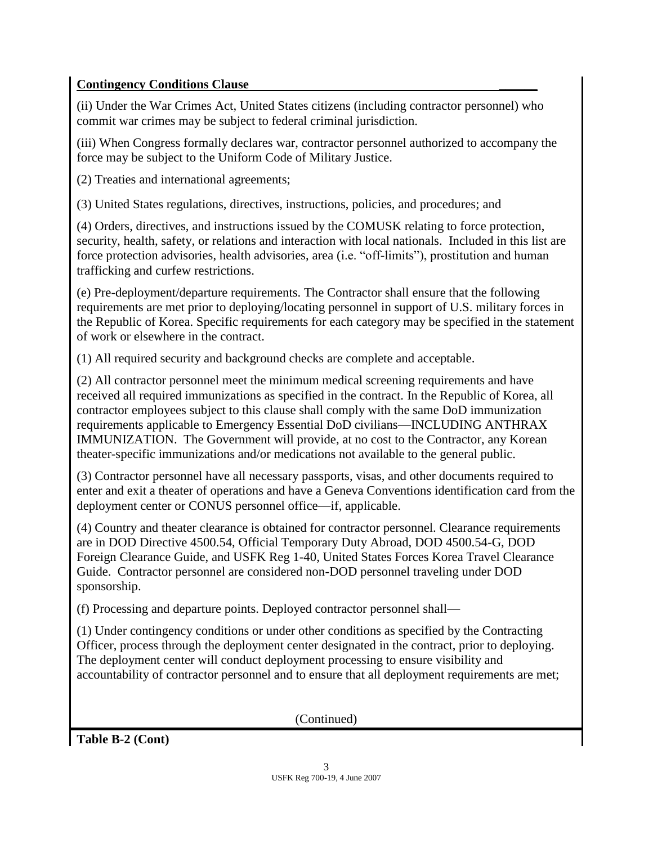## **Contingency Conditions Clause \_\_\_\_\_\_**

(ii) Under the War Crimes Act, United States citizens (including contractor personnel) who commit war crimes may be subject to federal criminal jurisdiction.

(iii) When Congress formally declares war, contractor personnel authorized to accompany the force may be subject to the Uniform Code of Military Justice.

(2) Treaties and international agreements;

(3) United States regulations, directives, instructions, policies, and procedures; and

(4) Orders, directives, and instructions issued by the COMUSK relating to force protection, security, health, safety, or relations and interaction with local nationals. Included in this list are force protection advisories, health advisories, area (i.e. "off-limits"), prostitution and human trafficking and curfew restrictions.

(e) Pre-deployment/departure requirements. The Contractor shall ensure that the following requirements are met prior to deploying/locating personnel in support of U.S. military forces in the Republic of Korea. Specific requirements for each category may be specified in the statement of work or elsewhere in the contract.

(1) All required security and background checks are complete and acceptable.

(2) All contractor personnel meet the minimum medical screening requirements and have received all required immunizations as specified in the contract. In the Republic of Korea, all contractor employees subject to this clause shall comply with the same DoD immunization requirements applicable to Emergency Essential DoD civilians—INCLUDING ANTHRAX IMMUNIZATION. The Government will provide, at no cost to the Contractor, any Korean theater-specific immunizations and/or medications not available to the general public.

(3) Contractor personnel have all necessary passports, visas, and other documents required to enter and exit a theater of operations and have a Geneva Conventions identification card from the deployment center or CONUS personnel office—if, applicable.

(4) Country and theater clearance is obtained for contractor personnel. Clearance requirements are in DOD Directive 4500.54, Official Temporary Duty Abroad, DOD 4500.54-G, DOD Foreign Clearance Guide, and USFK Reg 1-40, United States Forces Korea Travel Clearance Guide. Contractor personnel are considered non-DOD personnel traveling under DOD sponsorship.

(f) Processing and departure points. Deployed contractor personnel shall—

(1) Under contingency conditions or under other conditions as specified by the Contracting Officer, process through the deployment center designated in the contract, prior to deploying. The deployment center will conduct deployment processing to ensure visibility and accountability of contractor personnel and to ensure that all deployment requirements are met;

(Continued)

**Table B-2 (Cont)**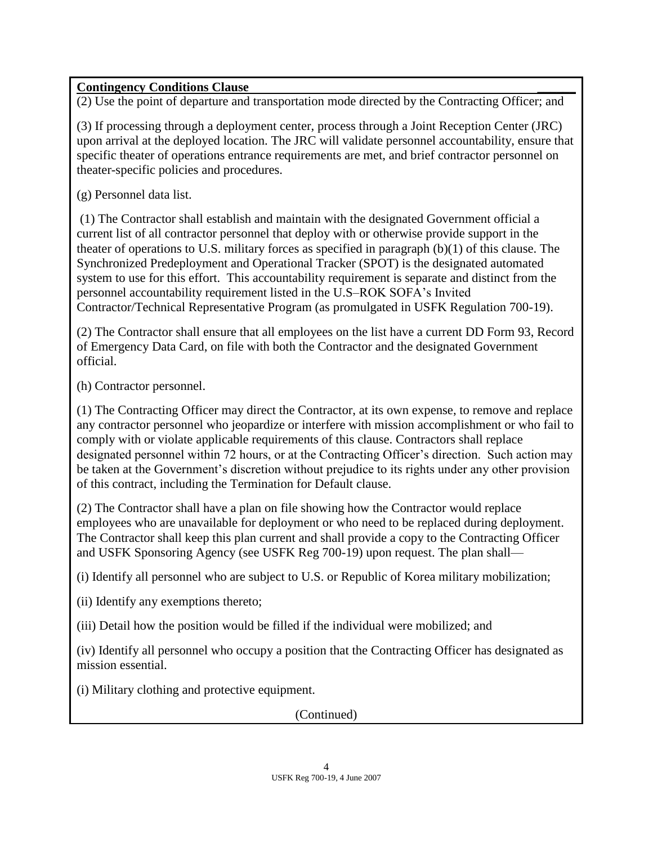## **Contingency Conditions Clause \_\_\_\_\_\_**

(2) Use the point of departure and transportation mode directed by the Contracting Officer; and

(3) If processing through a deployment center, process through a Joint Reception Center (JRC) upon arrival at the deployed location. The JRC will validate personnel accountability, ensure that specific theater of operations entrance requirements are met, and brief contractor personnel on theater-specific policies and procedures.

(g) Personnel data list.

(1) The Contractor shall establish and maintain with the designated Government official a current list of all contractor personnel that deploy with or otherwise provide support in the theater of operations to U.S. military forces as specified in paragraph (b)(1) of this clause. The Synchronized Predeployment and Operational Tracker (SPOT) is the designated automated system to use for this effort. This accountability requirement is separate and distinct from the personnel accountability requirement listed in the U.S–ROK SOFA's Invited Contractor/Technical Representative Program (as promulgated in USFK Regulation 700-19).

(2) The Contractor shall ensure that all employees on the list have a current DD Form 93, Record of Emergency Data Card, on file with both the Contractor and the designated Government official.

(h) Contractor personnel.

(1) The Contracting Officer may direct the Contractor, at its own expense, to remove and replace any contractor personnel who jeopardize or interfere with mission accomplishment or who fail to comply with or violate applicable requirements of this clause. Contractors shall replace designated personnel within 72 hours, or at the Contracting Officer's direction. Such action may be taken at the Government's discretion without prejudice to its rights under any other provision of this contract, including the Termination for Default clause.

(2) The Contractor shall have a plan on file showing how the Contractor would replace employees who are unavailable for deployment or who need to be replaced during deployment. The Contractor shall keep this plan current and shall provide a copy to the Contracting Officer and USFK Sponsoring Agency (see USFK Reg 700-19) upon request. The plan shall—

(i) Identify all personnel who are subject to U.S. or Republic of Korea military mobilization;

(ii) Identify any exemptions thereto;

(iii) Detail how the position would be filled if the individual were mobilized; and

(iv) Identify all personnel who occupy a position that the Contracting Officer has designated as mission essential.

(i) Military clothing and protective equipment.

(Continued)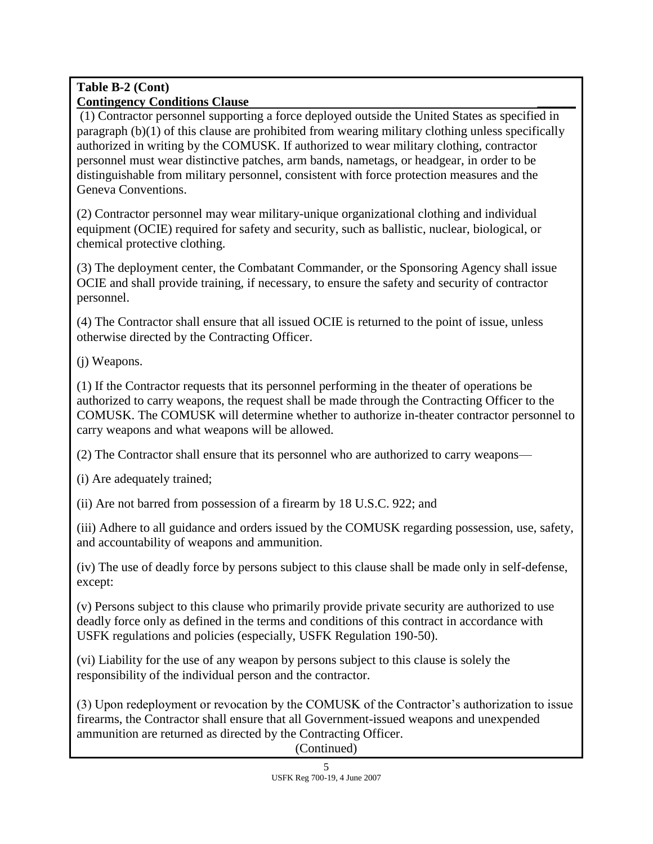#### **Table B-2 (Cont) Contingency Conditions Clause \_\_\_\_\_\_**

(1) Contractor personnel supporting a force deployed outside the United States as specified in paragraph (b)(1) of this clause are prohibited from wearing military clothing unless specifically authorized in writing by the COMUSK. If authorized to wear military clothing, contractor personnel must wear distinctive patches, arm bands, nametags, or headgear, in order to be distinguishable from military personnel, consistent with force protection measures and the Geneva Conventions.

(2) Contractor personnel may wear military-unique organizational clothing and individual equipment (OCIE) required for safety and security, such as ballistic, nuclear, biological, or chemical protective clothing.

(3) The deployment center, the Combatant Commander, or the Sponsoring Agency shall issue OCIE and shall provide training, if necessary, to ensure the safety and security of contractor personnel.

(4) The Contractor shall ensure that all issued OCIE is returned to the point of issue, unless otherwise directed by the Contracting Officer.

(j) Weapons.

(1) If the Contractor requests that its personnel performing in the theater of operations be authorized to carry weapons, the request shall be made through the Contracting Officer to the COMUSK. The COMUSK will determine whether to authorize in-theater contractor personnel to carry weapons and what weapons will be allowed.

(2) The Contractor shall ensure that its personnel who are authorized to carry weapons—

(i) Are adequately trained;

(ii) Are not barred from possession of a firearm by 18 U.S.C. 922; and

(iii) Adhere to all guidance and orders issued by the COMUSK regarding possession, use, safety, and accountability of weapons and ammunition.

(iv) The use of deadly force by persons subject to this clause shall be made only in self-defense, except:

(v) Persons subject to this clause who primarily provide private security are authorized to use deadly force only as defined in the terms and conditions of this contract in accordance with USFK regulations and policies (especially, USFK Regulation 190-50).

(vi) Liability for the use of any weapon by persons subject to this clause is solely the responsibility of the individual person and the contractor.

(3) Upon redeployment or revocation by the COMUSK of the Contractor's authorization to issue firearms, the Contractor shall ensure that all Government-issued weapons and unexpended ammunition are returned as directed by the Contracting Officer.

(Continued)